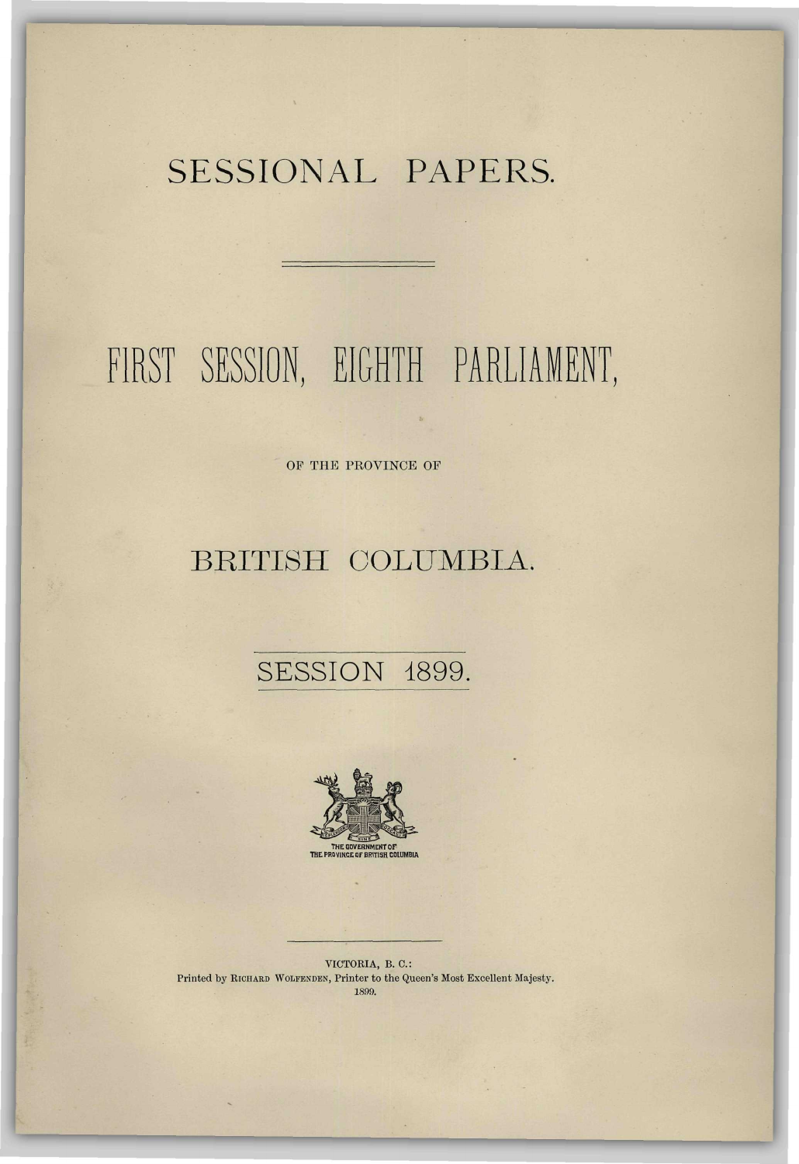## SESSIONAL PAPERS.

# FIRST SESSION, EIGHTH PARLIAMENT,

OF THE PROVINCE OF

#### BRITISH COLUMBIA.

#### SESSION 1899.



VICTORIA, B. 0.: Printed by RICHARD WOLFENDEN, Printer to the Queen's Most Excellent Majesty. 1899.